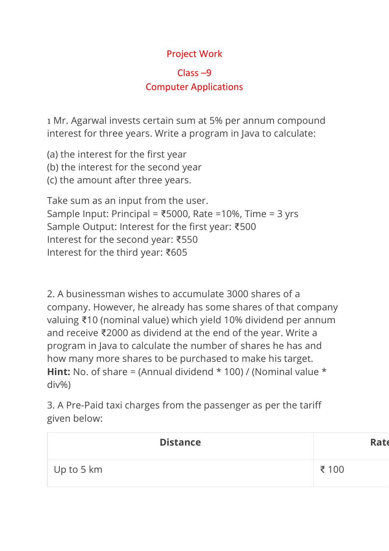## Project Work

## Class –9 Computer Applications

1 Mr. Agarwal invests certain sum at 5% per annum compound interest for three years. Write a program in Java to calculate:

(a) the interest for the first year (b) the interest for the second year (c) the amount after three years.

Take sum as an input from the user. Sample Input: Principal = ₹5000, Rate =10%, Time = 3 yrs Sample Output: Interest for the first year: ₹500 Interest for the second year: ₹550 Interest for the third year: ₹605

2. A businessman wishes to accumulate 3000 shares of a company. However, he already has some shares of that company valuing ₹10 (nominal value) which yield 10% dividend per annum and receive ₹2000 as dividend at the end of the year. Write a program in Java to calculate the number of shares he has and how many more shares to be purchased to make his target. **Hint:** No. of share = (Annual dividend \* 100) / (Nominal value \* div%)

3. A Pre-Paid taxi charges from the passenger as per the tariff given below:

| <b>Distance</b> | <b>Rate</b> |
|-----------------|-------------|
| Up to 5 km      | ₹ 100       |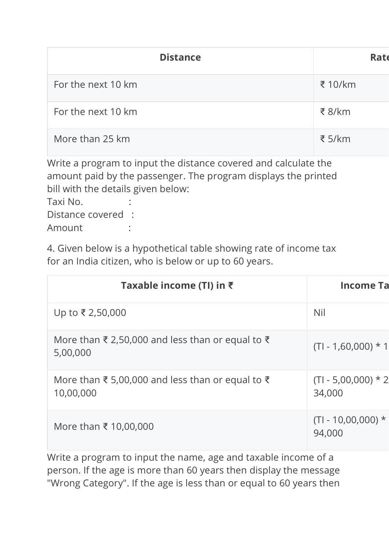| <b>Distance</b>    | <b>Rate</b> |
|--------------------|-------------|
| For the next 10 km | ₹ 10/km     |
| For the next 10 km | ₹ 8/km      |
| More than 25 km    | ₹ 5/km      |

Write a program to input the distance covered and calculate the amount paid by the passenger. The program displays the printed bill with the details given below:

| Taxi No.         |  |
|------------------|--|
| Distance covered |  |
| Amount           |  |

4. Given below is a hypothetical table showing rate of income tax for an India citizen, who is below or up to 60 years.

| Taxable income (TI) in ₹                                      | <b>Income Ta</b>                |
|---------------------------------------------------------------|---------------------------------|
| Up to ₹ 2,50,000                                              | <b>Nil</b>                      |
| More than ₹ 2,50,000 and less than or equal to ₹<br>5,00,000  | $(TI - 1,60,000) * 1$           |
| More than ₹ 5,00,000 and less than or equal to ₹<br>10,00,000 | $(TI - 5,00,000) * 2$<br>34,000 |
| More than ₹ 10,00,000                                         | $(TI - 10,00,000)$ *<br>94,000  |

Write a program to input the name, age and taxable income of a person. If the age is more than 60 years then display the message "Wrong Category". If the age is less than or equal to 60 years then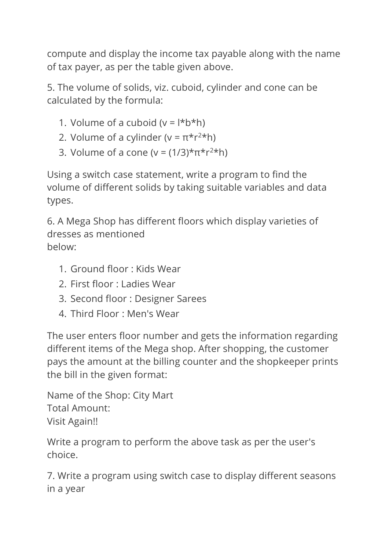compute and display the income tax payable along with the name of tax payer, as per the table given above.

5. The volume of solids, viz. cuboid, cylinder and cone can be calculated by the formula:

- 1. Volume of a cuboid  $(v = | *b * h)$
- 2. Volume of a cylinder ( $v = \pi^* r^2 h$ )
- 3. Volume of a cone (v =  $(1/3)*π*r<sup>2</sup>*h$ )

Using a switch case statement, write a program to find the volume of different solids by taking suitable variables and data types.

6. A Mega Shop has different floors which display varieties of dresses as mentioned below:

- 1. Ground floor : Kids Wear
- 2. First floor : Ladies Wear
- 3. Second floor : Designer Sarees
- 4. Third Floor : Men's Wear

The user enters floor number and gets the information regarding different items of the Mega shop. After shopping, the customer pays the amount at the billing counter and the shopkeeper prints the bill in the given format:

Name of the Shop: City Mart Total Amount: Visit Again!!

Write a program to perform the above task as per the user's choice.

7. Write a program using switch case to display different seasons in a year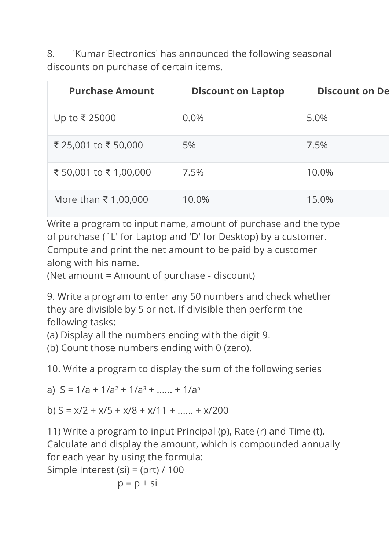8. 'Kumar Electronics' has announced the following seasonal discounts on purchase of certain items.

| <b>Purchase Amount</b> | <b>Discount on Laptop</b> | <b>Discount on De</b> |
|------------------------|---------------------------|-----------------------|
| Up to ₹ 25000          | $0.0\%$                   | 5.0%                  |
| ₹ 25,001 to ₹ 50,000   | 5%                        | 7.5%                  |
| ₹ 50,001 to ₹ 1,00,000 | 7.5%                      | 10.0%                 |
| More than ₹ 1,00,000   | 10.0%                     | 15.0%                 |

Write a program to input name, amount of purchase and the type of purchase (`L' for Laptop and 'D' for Desktop) by a customer. Compute and print the net amount to be paid by a customer along with his name.

(Net amount = Amount of purchase - discount)

9. Write a program to enter any 50 numbers and check whether they are divisible by 5 or not. If divisible then perform the following tasks:

(a) Display all the numbers ending with the digit 9.

(b) Count those numbers ending with 0 (zero).

10. Write a program to display the sum of the following series

a)  $S = 1/a + 1/a^2 + 1/a^3 + ... + 1/a^n$ 

b)  $S = x/2 + x/5 + x/8 + x/11 + ... + x/200$ 

11) Write a program to input Principal (p), Rate (r) and Time (t). Calculate and display the amount, which is compounded annually for each year by using the formula:

Simple Interest (si) = (prt) / 100

$$
p = p + si
$$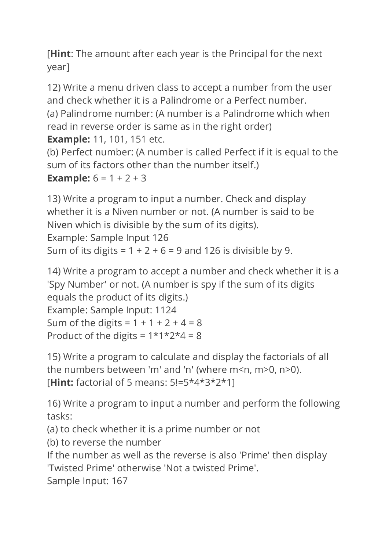[**Hint**: The amount after each year is the Principal for the next year]

12) Write a menu driven class to accept a number from the user and check whether it is a Palindrome or a Perfect number. (a) Palindrome number: (A number is a Palindrome which when

read in reverse order is same as in the right order)

**Example:** 11, 101, 151 etc.

(b) Perfect number: (A number is called Perfect if it is equal to the sum of its factors other than the number itself.)

**Example:**  $6 = 1 + 2 + 3$ 

13) Write a program to input a number. Check and display whether it is a Niven number or not. (A number is said to be Niven which is divisible by the sum of its digits). Example: Sample Input 126 Sum of its digits =  $1 + 2 + 6 = 9$  and 126 is divisible by 9.

14) Write a program to accept a number and check whether it is a 'Spy Number' or not. (A number is spy if the sum of its digits equals the product of its digits.) Example: Sample Input: 1124 Sum of the digits =  $1 + 1 + 2 + 4 = 8$ Product of the digits =  $1*1*2*4 = 8$ 

15) Write a program to calculate and display the factorials of all the numbers between 'm' and 'n' (where m<n, m>0, n>0). [**Hint:** factorial of 5 means: 5!=5\*4\*3\*2\*1]

16) Write a program to input a number and perform the following tasks:

(a) to check whether it is a prime number or not

(b) to reverse the number

If the number as well as the reverse is also 'Prime' then display 'Twisted Prime' otherwise 'Not a twisted Prime'.

Sample Input: 167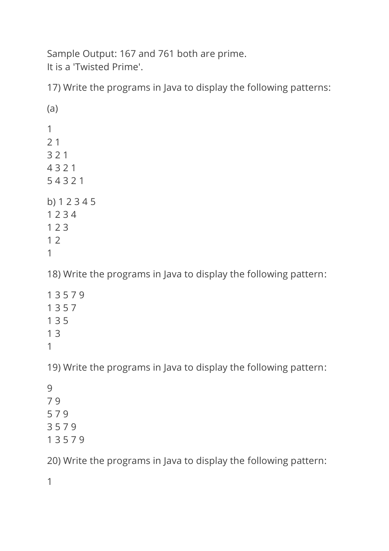Sample Output: 167 and 761 both are prime. It is a 'Twisted Prime'.

17) Write the programs in Java to display the following patterns:

1